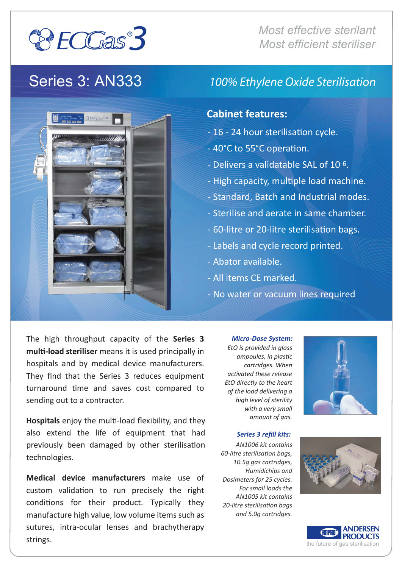

*Most effective sterilant Most efficient steriliser*

## Series 3: AN333



### *100% Ethylene Oxide Sterilisation*

### **Cabinet features:**

- 16 24 hour sterilisation cycle.
- 40°C to 55°C operation.
- Delivers a validatable SAL of 10-6.
- High capacity, multiple load machine.
- Standard, Batch and Industrial modes.
- Sterilise and aerate in same chamber.
- 60-litre or 20-litre sterilisation bags.
- Labels and cycle record printed.
- Abator available.
- All items CE marked.
- No water or vacuum lines required

The high throughput capacity of the **Series 3 mul�-load steriliser** means it is used principally in hospitals and by medical device manufacturers. They find that the Series 3 reduces equipment turnaround time and saves cost compared to sending out to a contractor.

**Hospitals** enjoy the multi-load flexibility, and they also extend the life of equipment that had previously been damaged by other sterilisation technologies.

**Medical device manufacturers** make use of custom validation to run precisely the right conditions for their product. Typically they manufacture high value, low volume items such as sutures, intra-ocular lenses and brachytherapy strings.

*Micro-Dose System: EtO is provided in glass ampoules, in plastic cartridges. When activated these release EtO directly to the heart of the load delivering a high level of sterility with a very small amount of gas.*



*AN1006 kit contains 60-litre sterilisation bags, 10.5g gas cartridges, Humidichips and Dosimeters for 25 cycles.* 

*Series 3 refill kits:* 

*For small loads the AN1005 kit contains 20-litre sterilisation bags and 5.0g cartridges.*